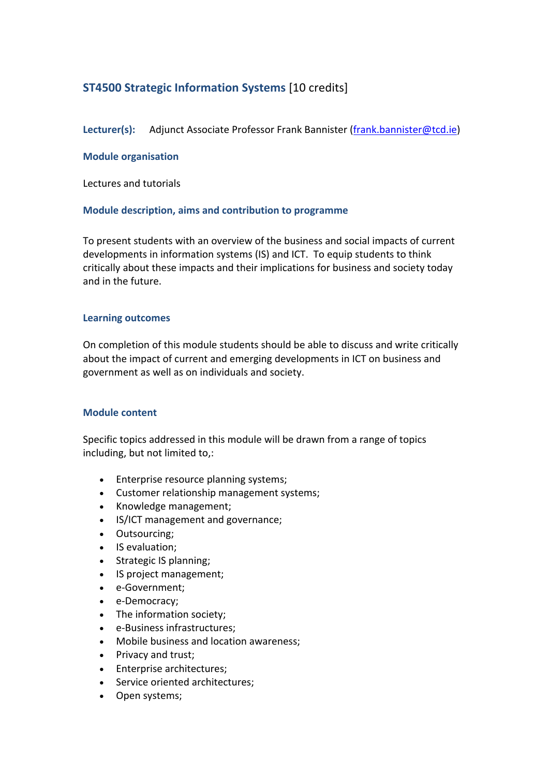# **ST4500 Strategic Information Systems** [10 credits]

Lecturer(s): Adjunct Associate Professor Frank Bannister (frank.bannister@tcd.ie)

## **Module organisation**

Lectures and tutorials

## **Module description, aims and contribution to programme**

To present students with an overview of the business and social impacts of current developments in information systems (IS) and ICT. To equip students to think critically about these impacts and their implications for business and society today and in the future.

## **Learning outcomes**

On completion of this module students should be able to discuss and write critically about the impact of current and emerging developments in ICT on business and government as well as on individuals and society.

## **Module content**

Specific topics addressed in this module will be drawn from a range of topics including, but not limited to,:

- Enterprise resource planning systems;
- Customer relationship management systems;
- Knowledge management;
- IS/ICT management and governance;
- Outsourcing;
- IS evaluation;
- Strategic IS planning;
- IS project management;
- e‐Government;
- e-Democracy;
- The information society:
- e‐Business infrastructures;
- Mobile business and location awareness;
- Privacy and trust;
- Enterprise architectures;
- Service oriented architectures;
- Open systems;